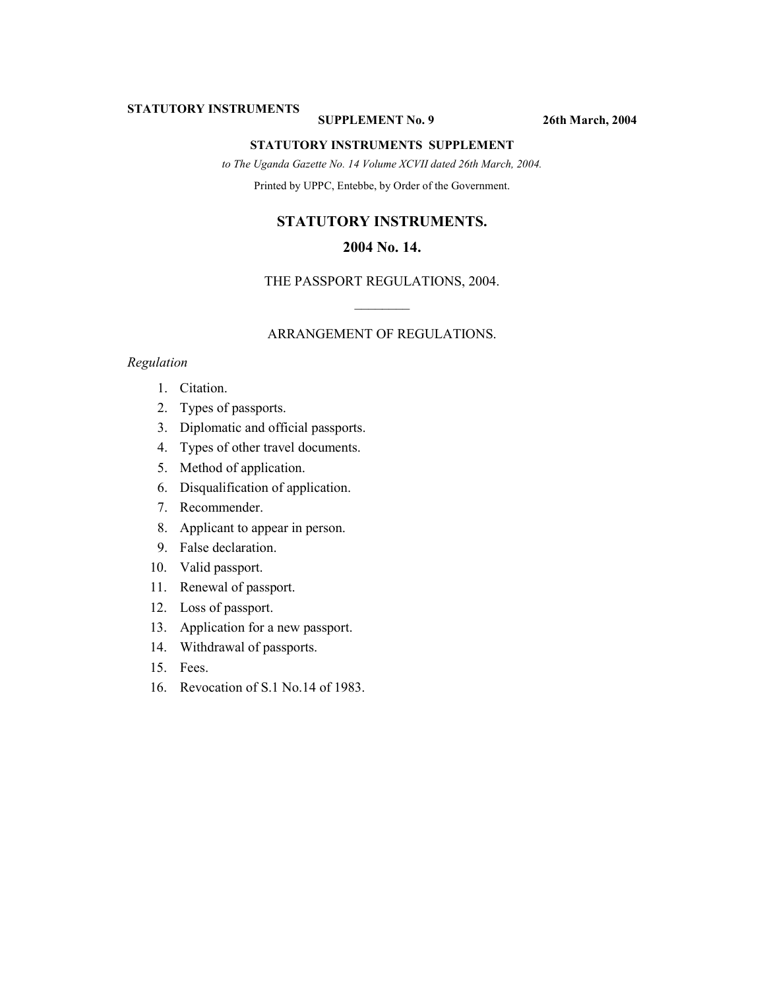#### STATUTORY INSTRUMENTS

#### SUPPLEMENT No. 9 26th March, 2004

#### STATUTORY INSTRUMENTS SUPPLEMENT

to The Uganda Gazette No. 14 Volume XCVII dated 26th March, 2004. Printed by UPPC, Entebbe, by Order of the Government.

## STATUTORY INSTRUMENTS.

## 2004 No. 14.

#### THE PASSPORT REGULATIONS, 2004.

#### ARRANGEMENT OF REGULATIONS.

#### Regulation

- 1. Citation.
- 2. Types of passports.
- 3. Diplomatic and official passports.
- 4. Types of other travel documents.
- 5. Method of application.
- 6. Disqualification of application.
- 7. Recommender.
- 8. Applicant to appear in person.
- 9. False declaration.
- 10. Valid passport.
- 11. Renewal of passport.
- 12. Loss of passport.
- 13. Application for a new passport.
- 14. Withdrawal of passports.
- 15. Fees.
- 16. Revocation of S.1 No.14 of 1983.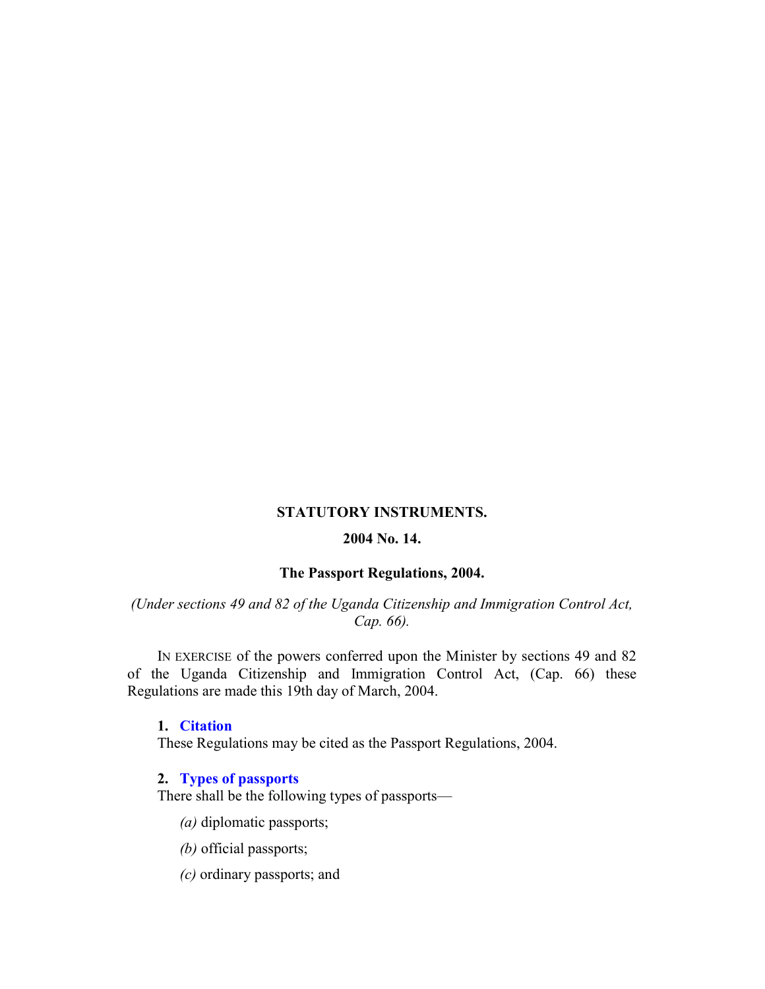### STATUTORY INSTRUMENTS.

# 2004 No. 14.

# The Passport Regulations, 2004.

## (Under sections 49 and 82 of the Uganda Citizenship and Immigration Control Act, Cap. 66).

IN EXERCISE of the powers conferred upon the Minister by sections 49 and 82 of the Uganda Citizenship and Immigration Control Act, (Cap. 66) these Regulations are made this 19th day of March, 2004.

# 1. Citation

These Regulations may be cited as the Passport Regulations, 2004.

### 2. Types of passports

There shall be the following types of passports—

(a) diplomatic passports;

(b) official passports;

(c) ordinary passports; and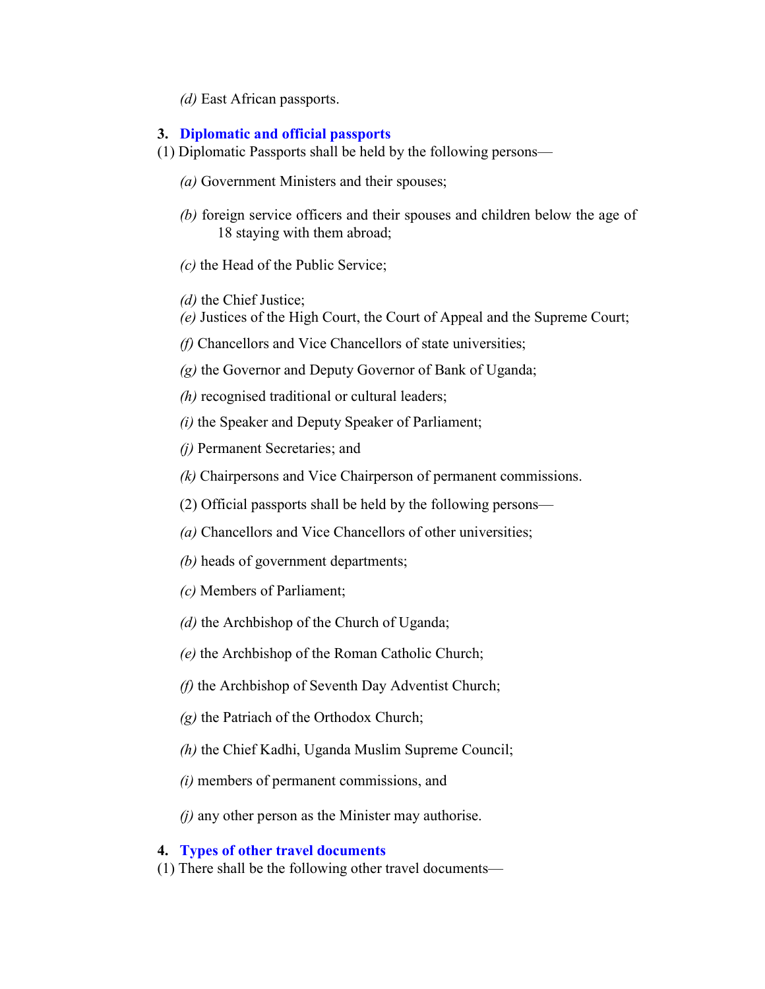(d) East African passports.

## 3. Diplomatic and official passports

- (1) Diplomatic Passports shall be held by the following persons—
	- (a) Government Ministers and their spouses;
	- (b) foreign service officers and their spouses and children below the age of 18 staying with them abroad;
	- (c) the Head of the Public Service;
	- (d) the Chief Justice;
	- (e) Justices of the High Court, the Court of Appeal and the Supreme Court;
	- (f) Chancellors and Vice Chancellors of state universities;
	- (g) the Governor and Deputy Governor of Bank of Uganda;
	- (h) recognised traditional or cultural leaders;
	- $(i)$  the Speaker and Deputy Speaker of Parliament;
	- (j) Permanent Secretaries; and
	- (k) Chairpersons and Vice Chairperson of permanent commissions.
	- (2) Official passports shall be held by the following persons—
	- (a) Chancellors and Vice Chancellors of other universities;
	- (b) heads of government departments;
	- (c) Members of Parliament;
	- (d) the Archbishop of the Church of Uganda;
	- (e) the Archbishop of the Roman Catholic Church;
	- (f) the Archbishop of Seventh Day Adventist Church;
	- (g) the Patriach of the Orthodox Church;
	- (h) the Chief Kadhi, Uganda Muslim Supreme Council; Ĩ,
	- (i) members of permanent commissions, and
	- $(i)$  any other person as the Minister may authorise.

## 4. Types of other travel documents

(1) There shall be the following other travel documents—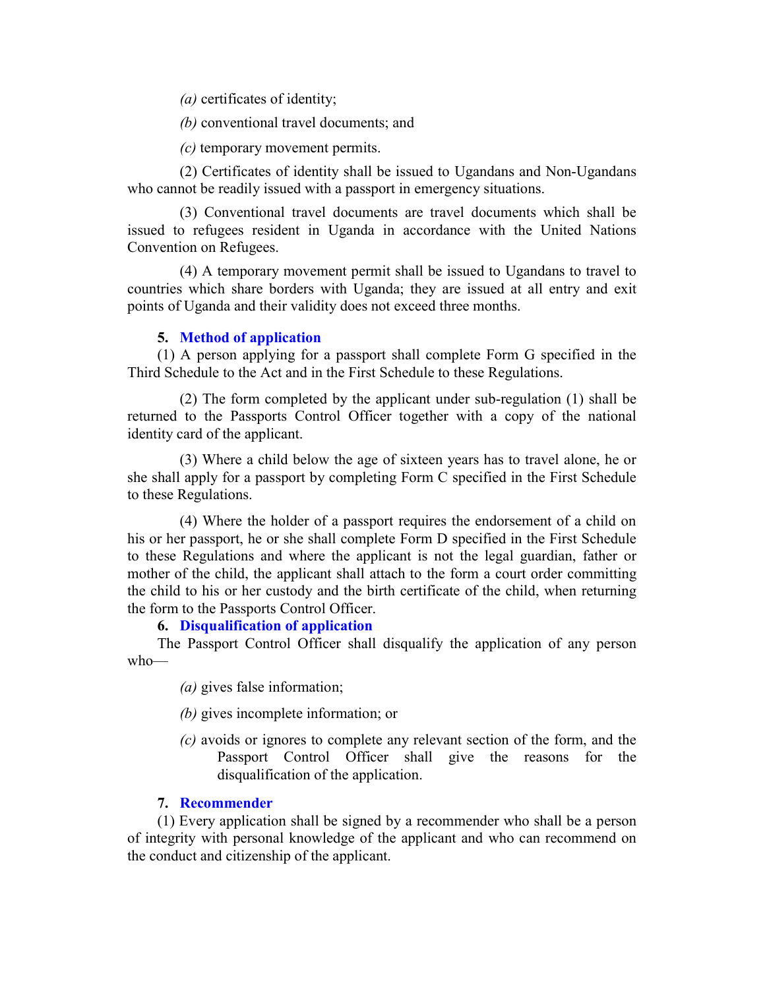(a) certificates of identity;

(b) conventional travel documents; and

(c) temporary movement permits.

 (2) Certificates of identity shall be issued to Ugandans and Non-Ugandans who cannot be readily issued with a passport in emergency situations.

 (3) Conventional travel documents are travel documents which shall be issued to refugees resident in Uganda in accordance with the United Nations Convention on Refugees.

 (4) A temporary movement permit shall be issued to Ugandans to travel to countries which share borders with Uganda; they are issued at all entry and exit points of Uganda and their validity does not exceed three months.

# 5. Method of application

(1) A person applying for a passport shall complete Form G specified in the Third Schedule to the Act and in the First Schedule to these Regulations.

 (2) The form completed by the applicant under sub-regulation (1) shall be returned to the Passports Control Officer together with a copy of the national identity card of the applicant.

 (3) Where a child below the age of sixteen years has to travel alone, he or she shall apply for a passport by completing Form C specified in the First Schedule to these Regulations.

 (4) Where the holder of a passport requires the endorsement of a child on his or her passport, he or she shall complete Form D specified in the First Schedule to these Regulations and where the applicant is not the legal guardian, father or mother of the child, the applicant shall attach to the form a court order committing the child to his or her custody and the birth certificate of the child, when returning the form to the Passports Control Officer.

# 6. Disqualification of application

The Passport Control Officer shall disqualify the application of any person who—

- (a) gives false information;
- (b) gives incomplete information; or
- (c) avoids or ignores to complete any relevant section of the form, and the Passport Control Officer shall give the reasons for the disqualification of the application.

# 7. Recommender

(1) Every application shall be signed by a recommender who shall be a person of integrity with personal knowledge of the applicant and who can recommend on the conduct and citizenship of the applicant.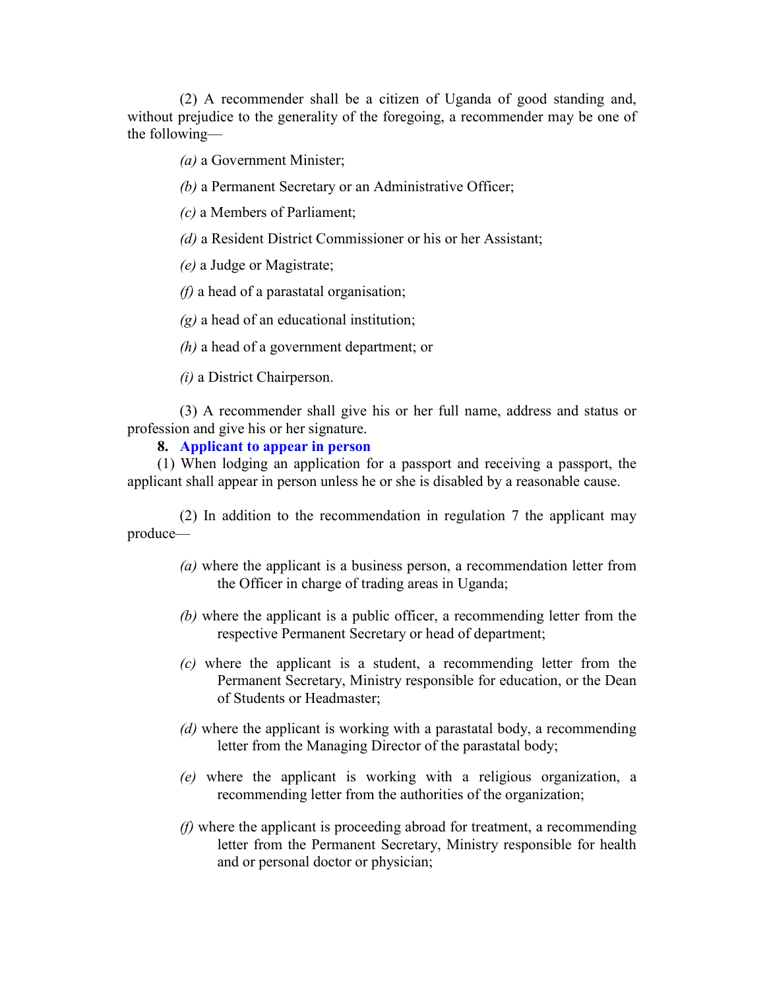(2) A recommender shall be a citizen of Uganda of good standing and, without prejudice to the generality of the foregoing, a recommender may be one of the following—

(a) a Government Minister;

(b) a Permanent Secretary or an Administrative Officer;

(c) a Members of Parliament;

(d) a Resident District Commissioner or his or her Assistant;

(e) a Judge or Magistrate;

 $(f)$  a head of a parastatal organisation;

(g) a head of an educational institution;

(h) a head of a government department; or

(i) a District Chairperson.

 (3) A recommender shall give his or her full name, address and status or profession and give his or her signature.

# 8. Applicant to appear in person

(1) When lodging an application for a passport and receiving a passport, the applicant shall appear in person unless he or she is disabled by a reasonable cause.

 (2) In addition to the recommendation in regulation 7 the applicant may produce—

- (a) where the applicant is a business person, a recommendation letter from the Officer in charge of trading areas in Uganda;
- (b) where the applicant is a public officer, a recommending letter from the respective Permanent Secretary or head of department;
- $(c)$  where the applicant is a student, a recommending letter from the Permanent Secretary, Ministry responsible for education, or the Dean of Students or Headmaster;
- (d) where the applicant is working with a parastatal body, a recommending letter from the Managing Director of the parastatal body;
- (e) where the applicant is working with a religious organization, a recommending letter from the authorities of the organization;
- $(f)$  where the applicant is proceeding abroad for treatment, a recommending letter from the Permanent Secretary, Ministry responsible for health and or personal doctor or physician;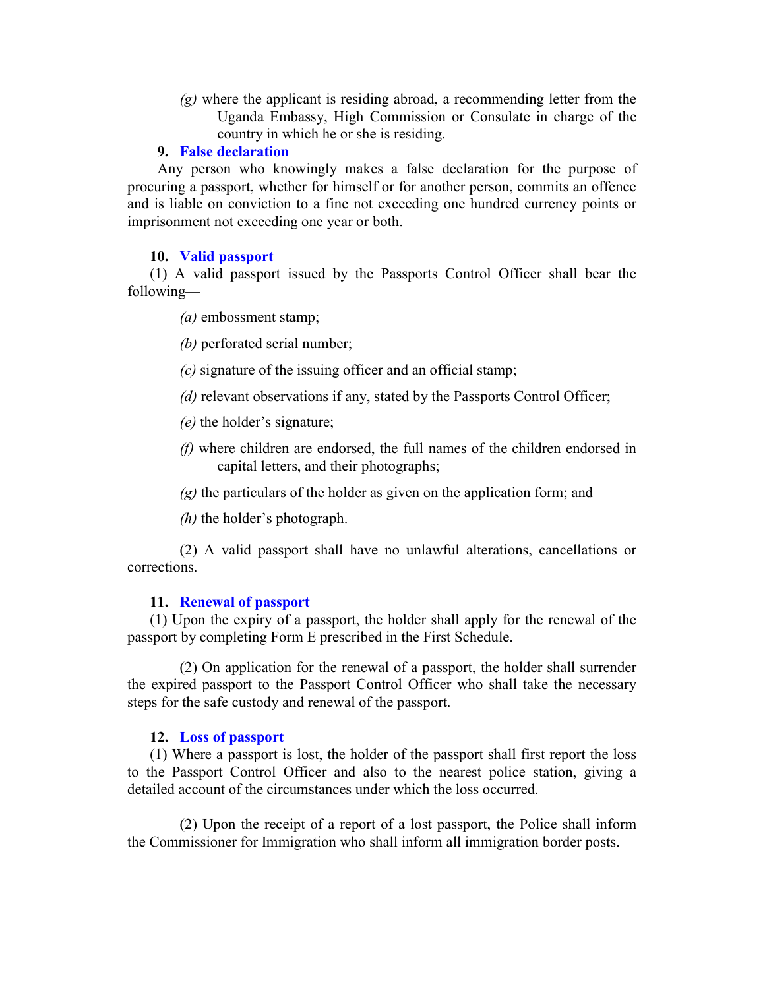(g) where the applicant is residing abroad, a recommending letter from the Uganda Embassy, High Commission or Consulate in charge of the country in which he or she is residing.

# 9. False declaration

Any person who knowingly makes a false declaration for the purpose of procuring a passport, whether for himself or for another person, commits an offence and is liable on conviction to a fine not exceeding one hundred currency points or imprisonment not exceeding one year or both.

## 10. Valid passport

(1) A valid passport issued by the Passports Control Officer shall bear the following—

(a) embossment stamp;

(b) perforated serial number;

 $(c)$  signature of the issuing officer and an official stamp;

- (d) relevant observations if any, stated by the Passports Control Officer;
- (e) the holder's signature;
- (f) where children are endorsed, the full names of the children endorsed in capital letters, and their photographs;
- (g) the particulars of the holder as given on the application form; and

(h) the holder's photograph.

 (2) A valid passport shall have no unlawful alterations, cancellations or corrections.

# 11. Renewal of passport

(1) Upon the expiry of a passport, the holder shall apply for the renewal of the passport by completing Form E prescribed in the First Schedule.

 (2) On application for the renewal of a passport, the holder shall surrender the expired passport to the Passport Control Officer who shall take the necessary steps for the safe custody and renewal of the passport.

# 12. Loss of passport

(1) Where a passport is lost, the holder of the passport shall first report the loss to the Passport Control Officer and also to the nearest police station, giving a detailed account of the circumstances under which the loss occurred.

 (2) Upon the receipt of a report of a lost passport, the Police shall inform the Commissioner for Immigration who shall inform all immigration border posts.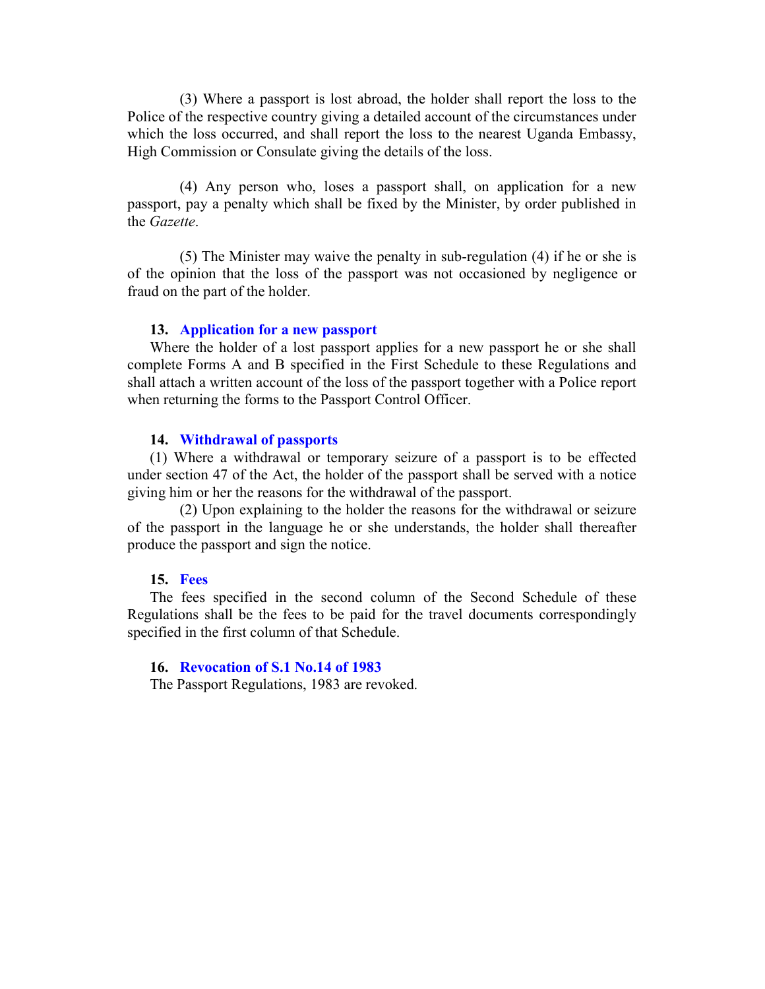(3) Where a passport is lost abroad, the holder shall report the loss to the Police of the respective country giving a detailed account of the circumstances under which the loss occurred, and shall report the loss to the nearest Uganda Embassy, High Commission or Consulate giving the details of the loss.

 (4) Any person who, loses a passport shall, on application for a new passport, pay a penalty which shall be fixed by the Minister, by order published in the Gazette.

 (5) The Minister may waive the penalty in sub-regulation (4) if he or she is of the opinion that the loss of the passport was not occasioned by negligence or fraud on the part of the holder.

#### 13. Application for a new passport

Where the holder of a lost passport applies for a new passport he or she shall complete Forms A and B specified in the First Schedule to these Regulations and shall attach a written account of the loss of the passport together with a Police report when returning the forms to the Passport Control Officer.

#### 14. Withdrawal of passports

(1) Where a withdrawal or temporary seizure of a passport is to be effected under section 47 of the Act, the holder of the passport shall be served with a notice giving him or her the reasons for the withdrawal of the passport.

 (2) Upon explaining to the holder the reasons for the withdrawal or seizure of the passport in the language he or she understands, the holder shall thereafter produce the passport and sign the notice.

#### 15. Fees

The fees specified in the second column of the Second Schedule of these Regulations shall be the fees to be paid for the travel documents correspondingly specified in the first column of that Schedule.

## 16. Revocation of S.1 No.14 of 1983

The Passport Regulations, 1983 are revoked.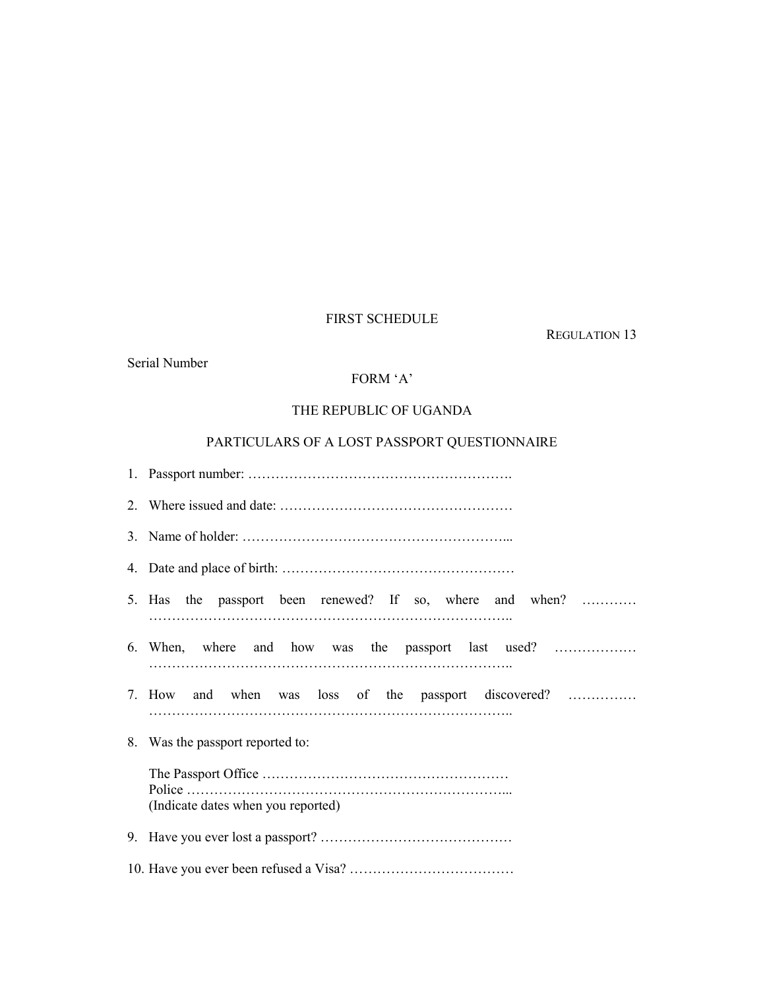# FIRST SCHEDULE

REGULATION 13

# Serial Number

## FORM 'A'

## THE REPUBLIC OF UGANDA

# PARTICULARS OF A LOST PASSPORT QUESTIONNAIRE

| 5. Has the passport been renewed? If so, where and when? |
|----------------------------------------------------------|
| 6. When, where and how was the passport last used?       |
| 7. How and when was loss of the passport discovered?     |
| 8. Was the passport reported to:                         |
| (Indicate dates when you reported)                       |
|                                                          |
|                                                          |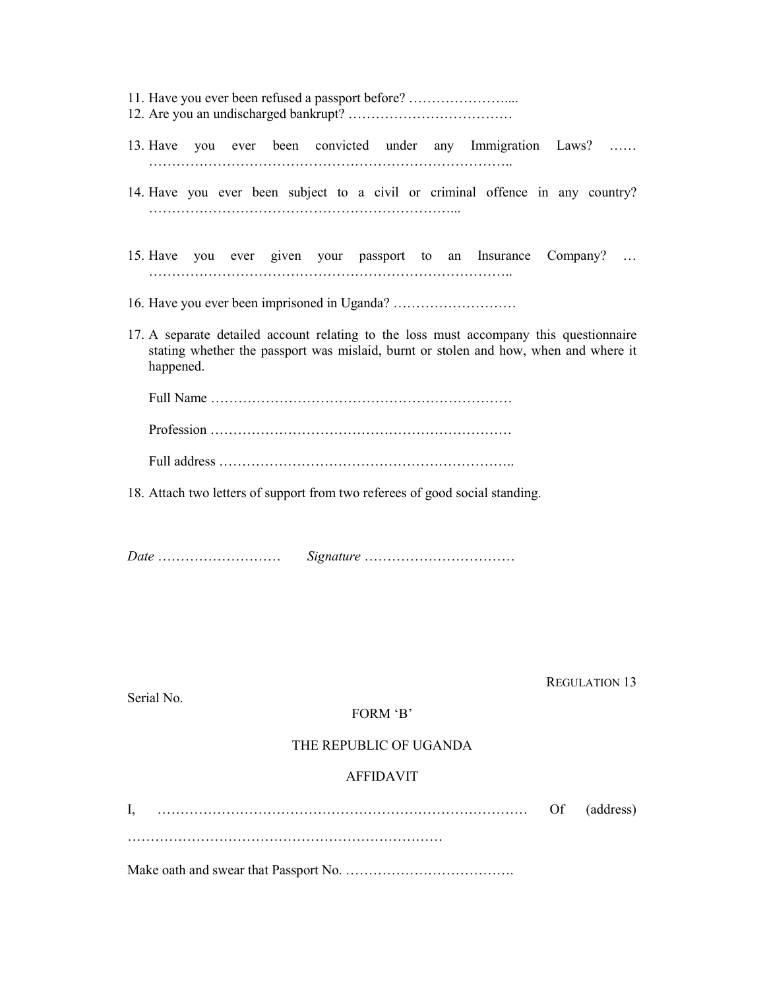| 11. Have you ever been refused a passport before?                                                                                                                                           |  |  |  |
|---------------------------------------------------------------------------------------------------------------------------------------------------------------------------------------------|--|--|--|
| 13. Have you ever been convicted under any Immigration Laws?                                                                                                                                |  |  |  |
| 14. Have you ever been subject to a civil or criminal offence in any country?                                                                                                               |  |  |  |
| 15. Have you ever given your passport to an Insurance Company?                                                                                                                              |  |  |  |
| 16. Have you ever been imprisoned in Uganda?                                                                                                                                                |  |  |  |
| 17. A separate detailed account relating to the loss must accompany this questionnaire<br>stating whether the passport was mislaid, burnt or stolen and how, when and where it<br>happened. |  |  |  |
|                                                                                                                                                                                             |  |  |  |
|                                                                                                                                                                                             |  |  |  |
|                                                                                                                                                                                             |  |  |  |
| 18. Attach two letters of support from two referees of good social standing.                                                                                                                |  |  |  |
|                                                                                                                                                                                             |  |  |  |

Serial No.

REGULATION 13

## FORM 'B'

## THE REPUBLIC OF UGANDA

# AFFIDAVIT

I, ……………………………………………………………………… Of (address)

……………………………………………………………

Make oath and swear that Passport No. ……………………………….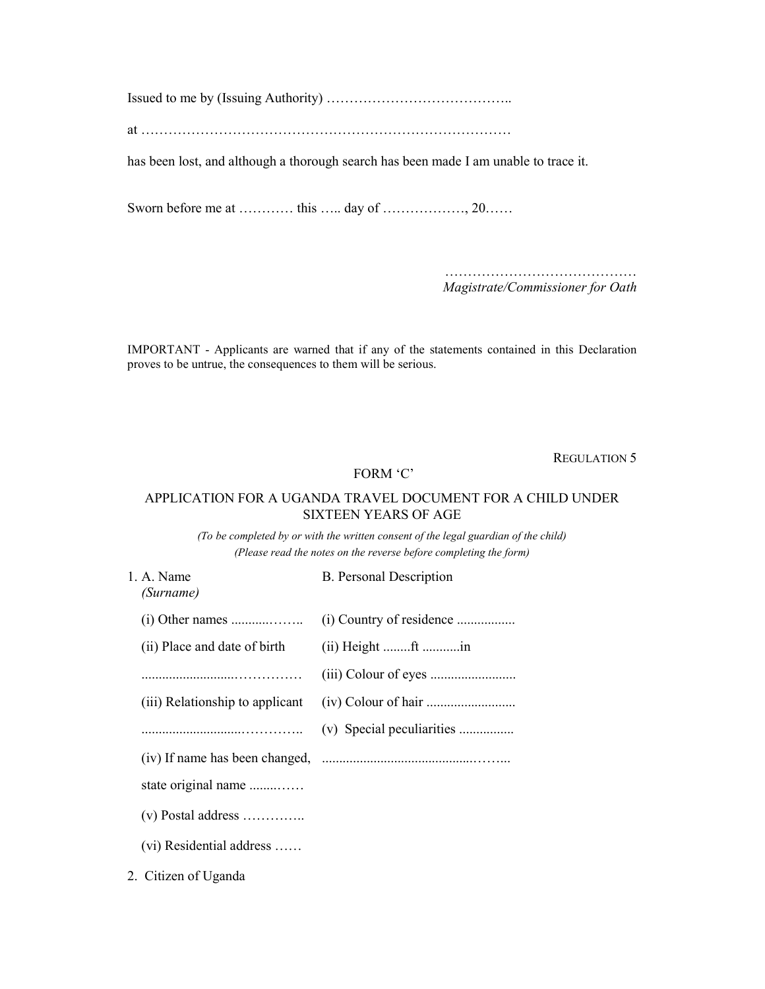Issued to me by (Issuing Authority) …………………………………..

at ………………………………………………………………………

has been lost, and although a thorough search has been made I am unable to trace it.

Sworn before me at ………… this …… day of ………………, 20……

…………………………………… Magistrate/Commissioner for Oath

IMPORTANT - Applicants are warned that if any of the statements contained in this Declaration proves to be untrue, the consequences to them will be serious.

REGULATION 5

## FORM 'C'

## APPLICATION FOR A UGANDA TRAVEL DOCUMENT FOR A CHILD UNDER SIXTEEN YEARS OF AGE

(To be completed by or with the written consent of the legal guardian of the child) (Please read the notes on the reverse before completing the form)

| 1. A. Name<br>(Surname)         | <b>B.</b> Personal Description |
|---------------------------------|--------------------------------|
|                                 |                                |
| (ii) Place and date of birth    | $(ii)$ Height $ft$             |
|                                 |                                |
| (iii) Relationship to applicant |                                |
|                                 | (v) Special peculiarities      |
|                                 |                                |
| state original name             |                                |
| $(v)$ Postal address            |                                |
| (vi) Residential address        |                                |
| 2. Citizen of Uganda            |                                |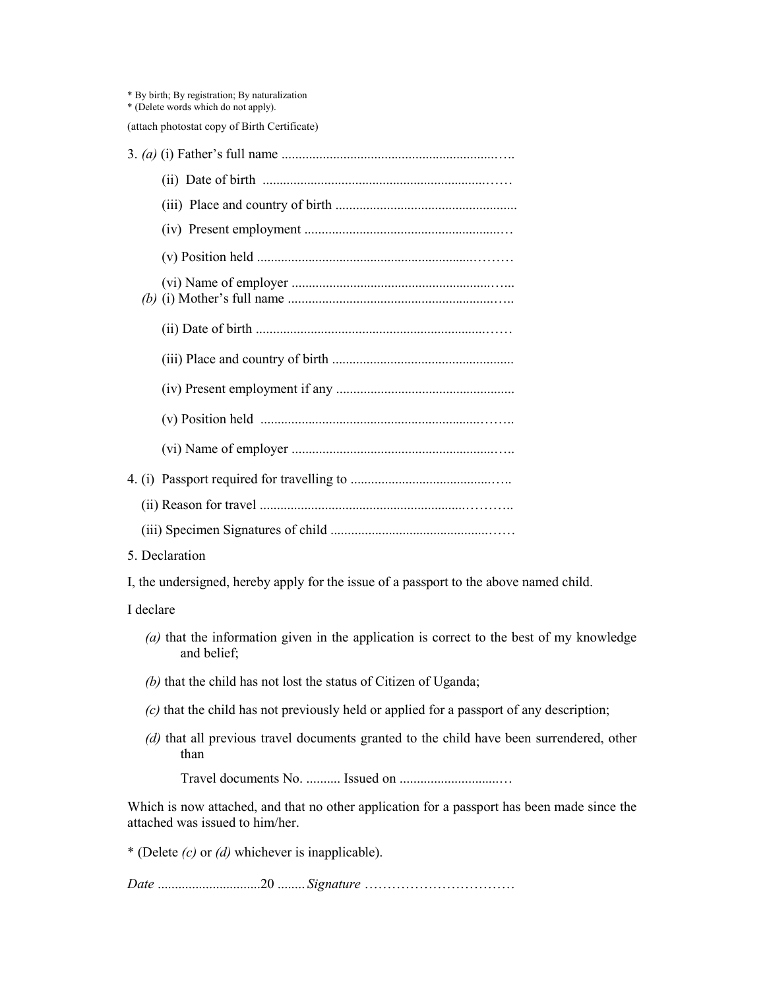| * By birth; By registration; By naturalization<br>* (Delete words which do not apply).                                         |
|--------------------------------------------------------------------------------------------------------------------------------|
| (attach photostat copy of Birth Certificate)                                                                                   |
|                                                                                                                                |
|                                                                                                                                |
|                                                                                                                                |
|                                                                                                                                |
|                                                                                                                                |
|                                                                                                                                |
|                                                                                                                                |
|                                                                                                                                |
|                                                                                                                                |
|                                                                                                                                |
|                                                                                                                                |
|                                                                                                                                |
|                                                                                                                                |
|                                                                                                                                |
| 5. Declaration                                                                                                                 |
| I, the undersigned, hereby apply for the issue of a passport to the above named child.                                         |
| I declare                                                                                                                      |
| $(a)$ that the information given in the application is correct to the best of my knowledge<br>and belief;                      |
| (b) that the child has not lost the status of Citizen of Uganda;                                                               |
| $(c)$ that the child has not previously held or applied for a passport of any description;                                     |
| (d) that all previous travel documents granted to the child have been surrendered, other<br>than                               |
|                                                                                                                                |
| Which is now attached, and that no other application for a passport has been made since the<br>attached was issued to him/her. |
| * (Delete $(c)$ or $(d)$ whichever is inapplicable).                                                                           |

Date ..............................20 ........ Signature ……………………………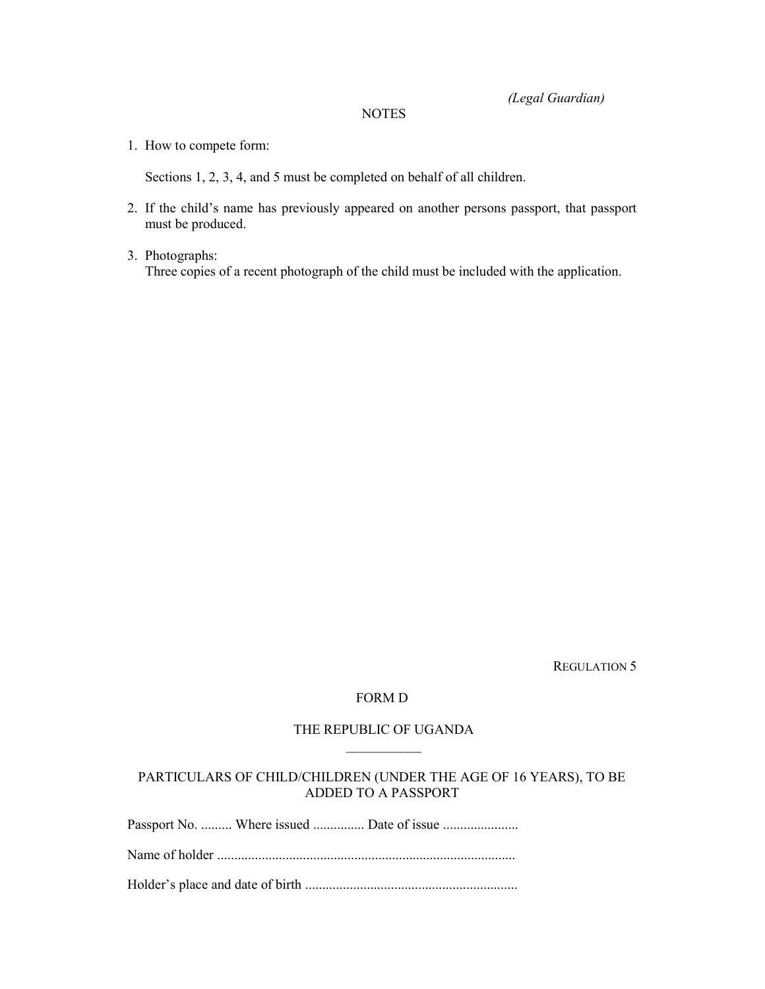(Legal Guardian)

#### **NOTES**

1. How to compete form:

Sections 1, 2, 3, 4, and 5 must be completed on behalf of all children.

- 2. If the child's name has previously appeared on another persons passport, that passport must be produced.
- 3. Photographs:

Three copies of a recent photograph of the child must be included with the application.

REGULATION 5

#### FORM D

#### THE REPUBLIC OF UGANDA  $\mathcal{L}_\text{max}$

#### PARTICULARS OF CHILD/CHILDREN (UNDER THE AGE OF 16 YEARS), TO BE ADDED TO A PASSPORT

Passport No. ......... Where issued ................ Date of issue .....................

Name of holder .......................................................................................

Holder's place and date of birth ..............................................................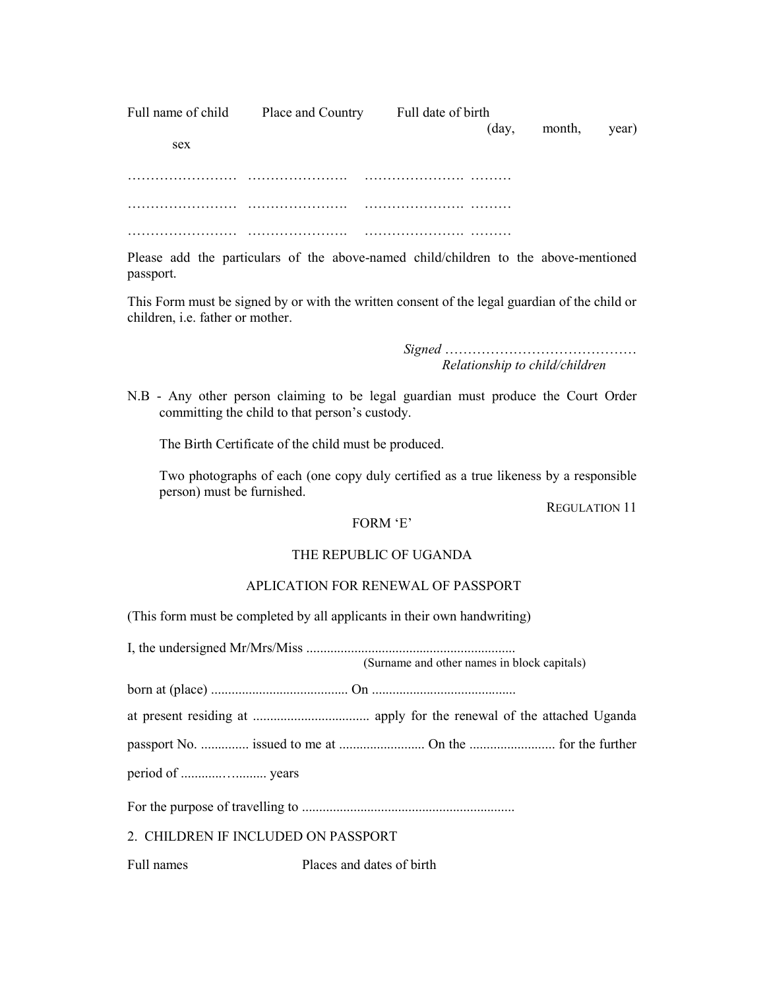|     | Full name of child Place and Country Full date of birth |                    |  |
|-----|---------------------------------------------------------|--------------------|--|
|     |                                                         | (day, month, year) |  |
| sex |                                                         |                    |  |
|     |                                                         |                    |  |
|     |                                                         |                    |  |
|     |                                                         |                    |  |
|     |                                                         |                    |  |
|     |                                                         |                    |  |

Please add the particulars of the above-named child/children to the above-mentioned passport.

This Form must be signed by or with the written consent of the legal guardian of the child or children, i.e. father or mother.

> Signed …………………………………… Relationship to child/children

N.B - Any other person claiming to be legal guardian must produce the Court Order committing the child to that person's custody.

The Birth Certificate of the child must be produced.

Two photographs of each (one copy duly certified as a true likeness by a responsible person) must be furnished.

REGULATION 11

## FORM 'E'

### THE REPUBLIC OF UGANDA

## APLICATION FOR RENEWAL OF PASSPORT

(This form must be completed by all applicants in their own handwriting)

| (Surname and other names in block capitals) |  |  |  |
|---------------------------------------------|--|--|--|
|                                             |  |  |  |
|                                             |  |  |  |
|                                             |  |  |  |
|                                             |  |  |  |
|                                             |  |  |  |
| 2. CHILDREN IF INCLUDED ON PASSPORT         |  |  |  |

Full names Places and dates of birth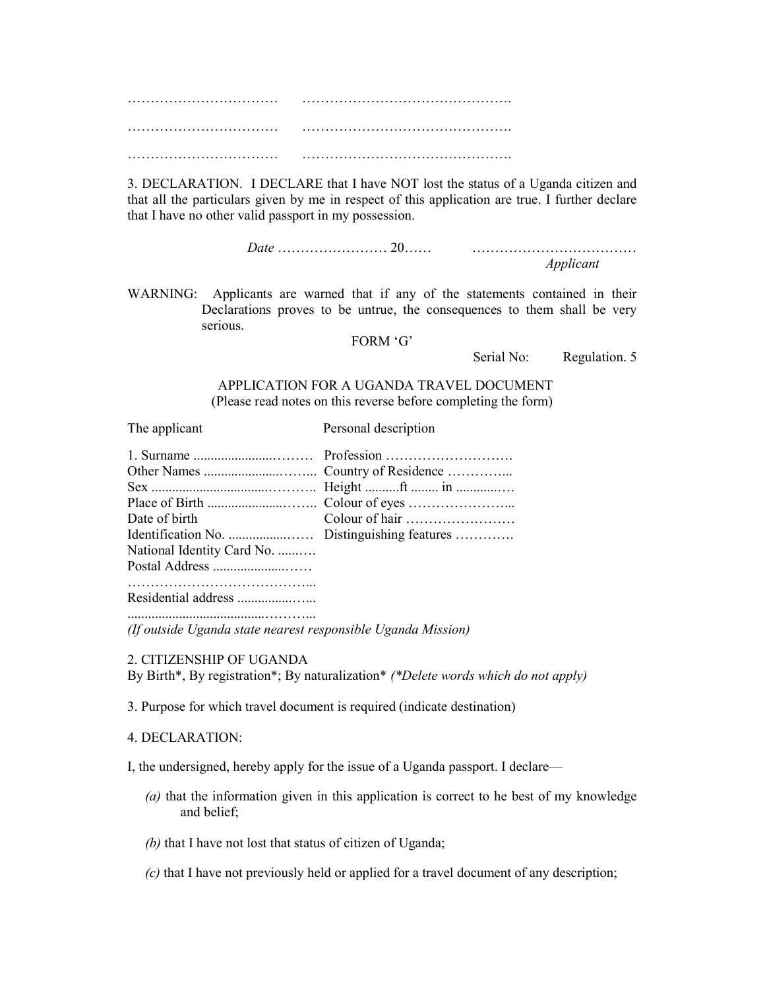…………………………… ………………………………………. …………………………… ………………………………………. …………………………… ……………………………………….

3. DECLARATION. I DECLARE that I have NOT lost the status of a Uganda citizen and that all the particulars given by me in respect of this application are true. I further declare that I have no other valid passport in my possession.

Date …………………… 20…… ……………………………… Applicant

WARNING: Applicants are warned that if any of the statements contained in their Declarations proves to be untrue, the consequences to them shall be very serious.

FORM 'G'

Serial No: Regulation. 5

 APPLICATION FOR A UGANDA TRAVEL DOCUMENT (Please read notes on this reverse before completing the form)

The applicant Personal description

| Date of birth              |  |
|----------------------------|--|
|                            |  |
| National Identity Card No. |  |
|                            |  |
|                            |  |
| Residential address        |  |

(If outside Uganda state nearest responsible Uganda Mission)

2. CITIZENSHIP OF UGANDA

........................................………...

By Birth\*, By registration\*; By naturalization\* *(\*Delete words which do not apply)* 

3. Purpose for which travel document is required (indicate destination)

#### 4. DECLARATION:

I, the undersigned, hereby apply for the issue of a Uganda passport. I declare—

(a) that the information given in this application is correct to he best of my knowledge and belief;

(b) that I have not lost that status of citizen of Uganda;

(c) that I have not previously held or applied for a travel document of any description;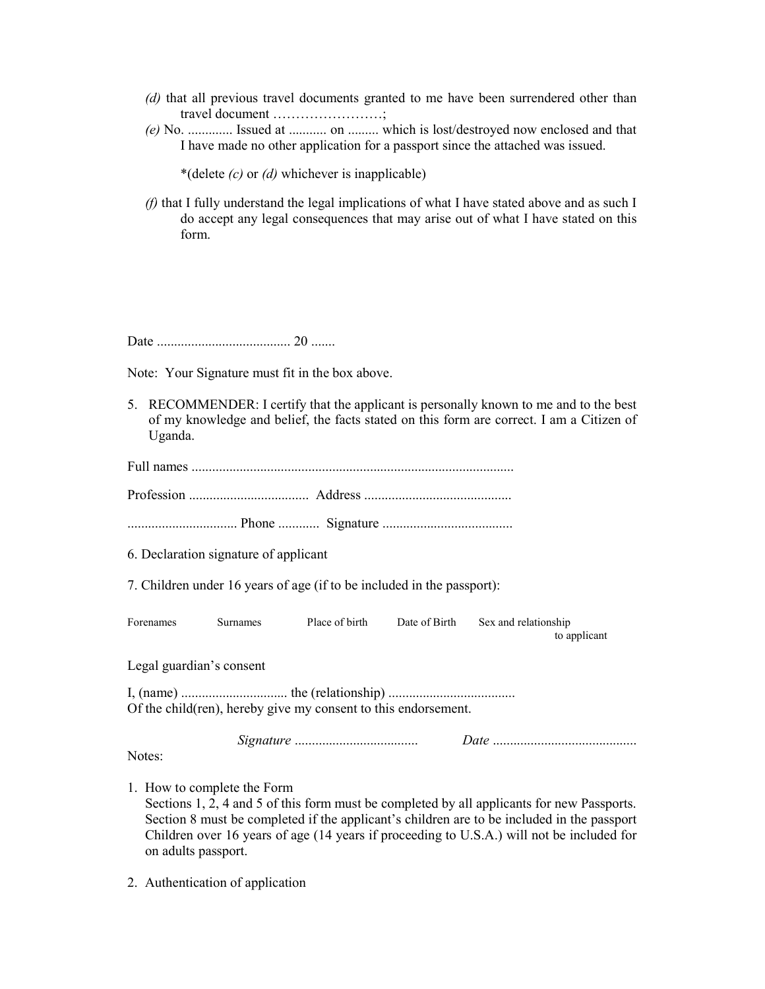- (d) that all previous travel documents granted to me have been surrendered other than travel document ……………………;
- (e) No. ............. Issued at ........... on ......... which is lost/destroyed now enclosed and that I have made no other application for a passport since the attached was issued.

\*(delete  $(c)$  or  $(d)$  whichever is inapplicable)

(f) that I fully understand the legal implications of what I have stated above and as such I do accept any legal consequences that may arise out of what I have stated on this form.

Date ....................................... 20 .......

Note: Your Signature must fit in the box above.

5. RECOMMENDER: I certify that the applicant is personally known to me and to the best of my knowledge and belief, the facts stated on this form are correct. I am a Citizen of Uganda.

|                                                                |                                                                                                                                                                                                                                                                                                                                             | 6. Declaration signature of applicant |                |  |                                                    |
|----------------------------------------------------------------|---------------------------------------------------------------------------------------------------------------------------------------------------------------------------------------------------------------------------------------------------------------------------------------------------------------------------------------------|---------------------------------------|----------------|--|----------------------------------------------------|
|                                                                | 7. Children under 16 years of age (if to be included in the passport):                                                                                                                                                                                                                                                                      |                                       |                |  |                                                    |
|                                                                | Forenames                                                                                                                                                                                                                                                                                                                                   | Surnames                              | Place of birth |  | Date of Birth Sex and relationship<br>to applicant |
|                                                                | Legal guardian's consent                                                                                                                                                                                                                                                                                                                    |                                       |                |  |                                                    |
| Of the child(ren), hereby give my consent to this endorsement. |                                                                                                                                                                                                                                                                                                                                             |                                       |                |  |                                                    |
| Notes:                                                         |                                                                                                                                                                                                                                                                                                                                             |                                       |                |  |                                                    |
|                                                                | 1. How to complete the Form<br>Sections 1, 2, 4 and 5 of this form must be completed by all applicants for new Passports.<br>Section 8 must be completed if the applicant's children are to be included in the passport<br>Children over 16 years of age (14 years if proceeding to U.S.A.) will not be included for<br>on adults passport. |                                       |                |  |                                                    |

2. Authentication of application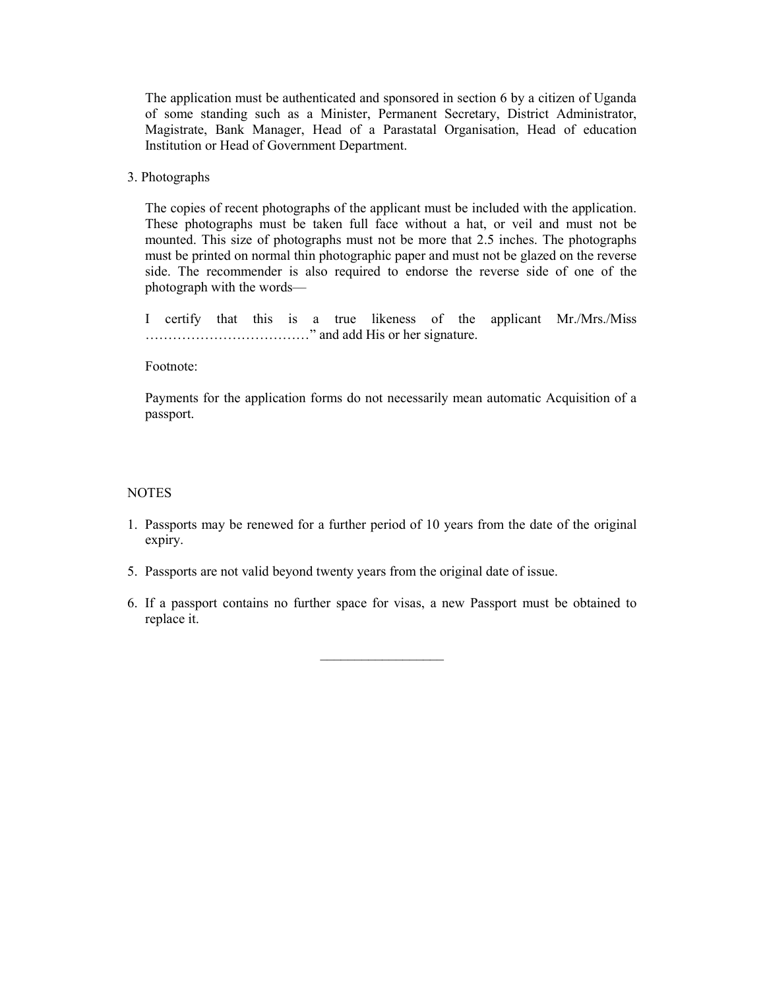The application must be authenticated and sponsored in section 6 by a citizen of Uganda of some standing such as a Minister, Permanent Secretary, District Administrator, Magistrate, Bank Manager, Head of a Parastatal Organisation, Head of education Institution or Head of Government Department.

#### 3. Photographs

 The copies of recent photographs of the applicant must be included with the application. These photographs must be taken full face without a hat, or veil and must not be mounted. This size of photographs must not be more that 2.5 inches. The photographs must be printed on normal thin photographic paper and must not be glazed on the reverse side. The recommender is also required to endorse the reverse side of one of the photograph with the words—

 I certify that this is a true likeness of the applicant Mr./Mrs./Miss ………………………………" and add His or her signature.

#### Footnote:

 Payments for the application forms do not necessarily mean automatic Acquisition of a passport.

#### **NOTES**

- 1. Passports may be renewed for a further period of 10 years from the date of the original expiry.
- 5. Passports are not valid beyond twenty years from the original date of issue.
- 6. If a passport contains no further space for visas, a new Passport must be obtained to replace it.

 $\_$